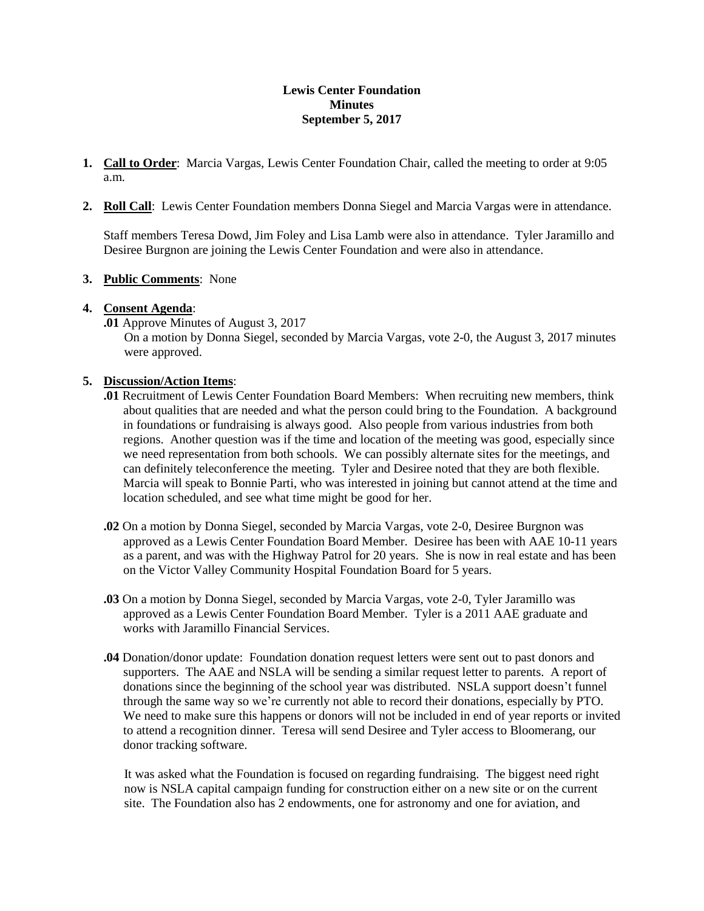## **Lewis Center Foundation Minutes September 5, 2017**

- **1. Call to Order**: Marcia Vargas, Lewis Center Foundation Chair, called the meeting to order at 9:05 a.m.
- **2. Roll Call**: Lewis Center Foundation members Donna Siegel and Marcia Vargas were in attendance.

Staff members Teresa Dowd, Jim Foley and Lisa Lamb were also in attendance. Tyler Jaramillo and Desiree Burgnon are joining the Lewis Center Foundation and were also in attendance.

### **3. Public Comments**: None

### **4. Consent Agenda**:

**.01** Approve Minutes of August 3, 2017

On a motion by Donna Siegel, seconded by Marcia Vargas, vote 2-0, the August 3, 2017 minutes were approved.

### **5. Discussion/Action Items**:

- **.01** Recruitment of Lewis Center Foundation Board Members: When recruiting new members, think about qualities that are needed and what the person could bring to the Foundation. A background in foundations or fundraising is always good. Also people from various industries from both regions. Another question was if the time and location of the meeting was good, especially since we need representation from both schools. We can possibly alternate sites for the meetings, and can definitely teleconference the meeting. Tyler and Desiree noted that they are both flexible. Marcia will speak to Bonnie Parti, who was interested in joining but cannot attend at the time and location scheduled, and see what time might be good for her.
- **.02** On a motion by Donna Siegel, seconded by Marcia Vargas, vote 2-0, Desiree Burgnon was approved as a Lewis Center Foundation Board Member. Desiree has been with AAE 10-11 years as a parent, and was with the Highway Patrol for 20 years. She is now in real estate and has been on the Victor Valley Community Hospital Foundation Board for 5 years.
- **.03** On a motion by Donna Siegel, seconded by Marcia Vargas, vote 2-0, Tyler Jaramillo was approved as a Lewis Center Foundation Board Member. Tyler is a 2011 AAE graduate and works with Jaramillo Financial Services.
- **.04** Donation/donor update: Foundation donation request letters were sent out to past donors and supporters. The AAE and NSLA will be sending a similar request letter to parents. A report of donations since the beginning of the school year was distributed. NSLA support doesn't funnel through the same way so we're currently not able to record their donations, especially by PTO. We need to make sure this happens or donors will not be included in end of year reports or invited to attend a recognition dinner. Teresa will send Desiree and Tyler access to Bloomerang, our donor tracking software.

It was asked what the Foundation is focused on regarding fundraising. The biggest need right now is NSLA capital campaign funding for construction either on a new site or on the current site. The Foundation also has 2 endowments, one for astronomy and one for aviation, and